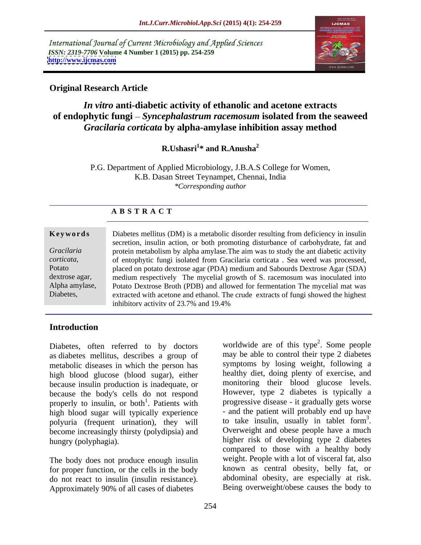International Journal of Current Microbiology and Applied Sciences *ISSN: 2319-7706* **Volume 4 Number 1 (2015) pp. 254-259 <http://www.ijcmas.com>**



# **Original Research Article**

# *In vitro* **anti-diabetic activity of ethanolic and acetone extracts of endophytic fungi** *Syncephalastrum racemosum* **isolated from the seaweed**  *Gracilaria corticata* **by alpha-amylase inhibition assay method**

**R.Ushasri<sup>1\*</sup>** and **R.Anusha**<sup>2</sup> **\* and R.Anusha<sup>2</sup>**

P.G. Department of Applied Microbiology, J.B.A.S College for Women, K.B. Dasan Street Teynampet, Chennai, India *\*Corresponding author*

|                | <b>ABSTRACT</b>                                                                     |
|----------------|-------------------------------------------------------------------------------------|
|                |                                                                                     |
| Keywords       | Diabetes mellitus (DM) is a metabolic disorder resulting from deficiency in insulin |
|                | secretion, insulin action, or both promoting disturbance of carbohydrate, fat and   |
| Gracilaria     | protein metabolism by alpha amylase. The aim was to study the ant diabetic activity |
| corticata,     | of entophytic fungi isolated from Gracilaria corticata. Sea weed was processed,     |
| Potato         | placed on potato dextrose agar (PDA) medium and Sabourds Dextrose Agar (SDA)        |
| dextrose agar, | medium respectively The mycelial growth of S. racemosum was inoculated into         |
| Alpha amylase, | Potato Dextrose Broth (PDB) and allowed for fermentation The mycelial mat was       |
| Diabetes,      | extracted with acetone and ethanol. The crude extracts of fungi showed the highest  |
|                | inhibitory activity of 23.7% and 19.4%                                              |

# **Introduction**

Diabetes, often referred to by doctors as diabetes mellitus, describes a group of metabolic diseases in which the person has high blood glucose (blood sugar), either because insulin production is inadequate, or because the body's cells do not respond properly to insulin, or both<sup>1</sup>. Patients with high blood sugar will typically experience<br>  $\frac{1}{2}$  and the patient will probably end up have<br>
nolyuria (frequent urination) they will to take insulin, usually in tablet form<sup>3</sup>. polyuria (frequent urination), they will to take insulin, usually in tablet form<sup>2</sup>.<br>become increasingly thirsty (polydinsia) and Overweight and obese people have a much become increasingly thirsty (polydipsia) and

The body does not produce enough insulin for proper function, or the cells in the body do not react to insulin (insulin resistance). Approximately 90% of all cases of diabetes

<sup>1</sup>. Patients with progressive disease - it gradually gets worse hungry (polyphagia). higher risk of developing type 2 diabetes worldwide are of this type<sup>2</sup>. Some people  $^2$  Some people . Some people may be able to control their type 2 diabetes symptoms by losing weight, following a healthy diet, doing plenty of exercise, and monitoring their blood glucose levels. However, type 2 diabetes is typically a - and the patient will probably end up have to take insulin, usually in tablet form<sup>3</sup>. 3 to take insulin, usually in tablet form<sup>3</sup>.<br>Overweight and obese people have a much compared to those with a healthy body weight. People with a lot of visceral fat, also known as central obesity, belly fat, or abdominal obesity, are especially at risk. Being overweight/obese causes the body to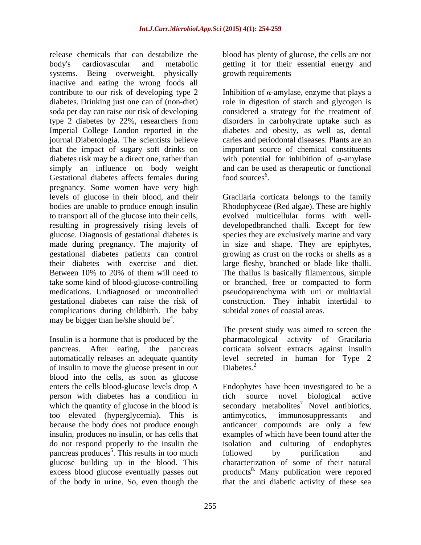release chemicals that can destabilize the blood has plenty of glucose, the cells are not body's cardiovascular and metabolic getting it for their essential energy and systems. Being overweight, physically growth requirements inactive and eating the wrong foods all contribute to our risk of developing type 2 Inhibition of  $\alpha$ -amylase, enzyme that plays a diabetes. Drinking just one can of (non-diet) soda per day can raise our risk of developing considered a strategy for the treatment of type 2 diabetes by 22%, researchers from disorders in carbohydrate uptake such as Imperial College London reported in the diabetes and obesity, as well as, dental journal Diabetologia. The scientists believe caries and periodontal diseases. Plants are an that the impact of sugary soft drinks on diabetes risk may be a direct one, rather than with potential for inhibition of  $\alpha$ -amylase simply an influence on body weight and can be used as therapeutic or functional Gestational diabetes affects females during food sources<sup>6</sup>. pregnancy. Some women have very high to transport all of the glucose into their cells, resulting in progressively rising levels of complications during childbirth. The baby may be bigger than he/she should be $4$ . . A construction of the construction of the construction of the construction of the construction of the constr<br>The construction of the construction of the construction of the construction of the construction of the constr

Insulin is a hormone that is produced by the pharmacological activity of Gracilaria pancreas. After eating, the pancreas corticata solvent extracts against insulin automatically releases an adequate quantity of insulin to move the glucose present in our Diabetes.<sup>2</sup> blood into the cells, as soon as glucose person with diabetes has a condition in rich source novel biological active which the quantity of glucose in the blood is too elevated (hyperglycemia). This is pancreas produces<sup>5</sup>. This results in too much followed by purification and

growth requirements

role in digestion of starch and glycogen is important source of chemical constituents  $\frac{6}{100}$  sources<sup>6</sup>. .

levels of glucose in their blood, and their Gracilaria corticata belongs to the family bodies are unable to produce enough insulin Rhodophyceae (Red algae). These are highly glucose. Diagnosis of gestational diabetes is species they are exclusively marine and vary made during pregnancy. The majority of in size and shape. They are epiphytes, gestational diabetes patients can control growing as crust on the rocksor shells as a their diabetes with exercise and diet. large fleshy, branched or blade like thalli. Between 10% to 20% of them will need to The thallus is basically filamentous, simple take some kind of blood-glucose-controlling or branched, free or compacted to form medications. Undiagnosed or uncontrolled pseudoparenchyma with uni or multiaxial gestational diabetes can raise the risk of construction. They inhabit intertidal to evolved multicellular forms with well developedbranched thalli. Except for few subtidal zones of coastal areas.

> The present study was aimed to screen the level secreted in human for Type 2 Diabetes.<sup>2</sup>

enters the cells blood-glucose levels drop A Endophytes have been investigated to be a because the body does not produce enough anticancer compounds are only a few insulin, produces no insulin, or has cells that examples of which have been found after the do not respond properly to the insulin the isolation and culturing of endophytes . This results in too much followed by purification and glucose building up in the blood. This characterization of some of their natural excess blood glucose eventually passes out products<sup>8.</sup> Many publication were repored of the body in urine. So, even though the that the anti diabetic activity of these searich source novel biological active secondary metabolites<sup>7</sup> Novel antibiotics, antimycotics, immunosuppressants and followed by purification and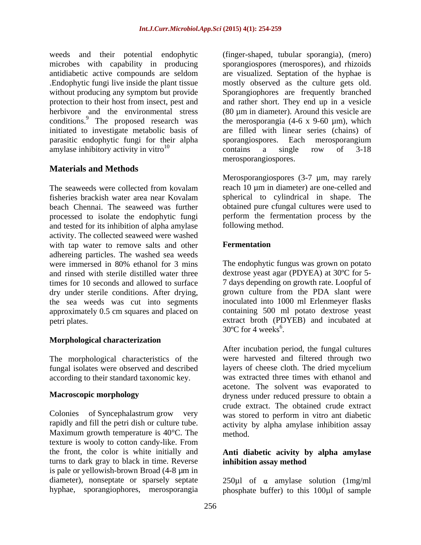microbes with capability in producing herbivore and the environmental stress conditions.<sup>9</sup> The proposed research was parasitic endophytic fungi for their alpha amylase inhibitory activity in vitro<sup>10</sup> contains a single row of  $3-18$ 

# **Materials and Methods**

beach Chennai. The seaweed was further and tested for its inhibition of alpha amylase activity. The collected seaweed were washed with tap water to remove salts and other **Fermentation** adhereing particles. The washed sea weeds dry under sterile conditions. After drying, the sea weeds was cut into segments approximately 0.5 cm squares and placed on

### **Morphological characterization**

The morphological characteristics of the fungal isolates were observed and described according to their standard taxonomic key.

Maximum growth temperature is 40<sup>o</sup>C. The method. texture is wooly to cotton candy-like. From the front, the color is white initially and **Anti diabetic acivity by alpha amylase** turns to dark gray to black in time. Reverse **inhibition assay method** is pale or yellowish-brown Broad (4-8 µm in diameter), nonseptate or sparsely septate  $250\mu$ l of  $\alpha$  amylase solution (1mg/ml hyphae, sporangiophores, merosporangia phosphate buffer) to this 100µl of sample

weeds and their potential endophytic (finger-shaped, tubular sporangia), (mero) antidiabetic active compounds are seldom .Endophytic fungi live inside the plant tissue mostly observed as the culture gets old. without producing any symptom but provide Sporangiophores are frequently branched protection to their host from insect, pest and and rather short. They end up in a vesicle initiated to investigate metabolic basis of are filled with linear series (chains) of sporangiospores (merospores), and rhizoids are visualized. Septation of the hyphae is  $(80 \,\mu m)$  in diameter). Around this vesicle are the merosporangia  $(4-6 \times 9-60 \mu m)$ , which sporangiospores. Each merosporangium contains a single row of 3-18 merosporangiospores.

The seaweeds were collected from kovalam reach 10  $\mu$ m in diameter) are one-celled and fisheries brackish water area near Kovalam processed to isolate the endophytic fungi perform the fermentation process by the Merosporangiospores (3-7 µm, may rarely reach 10 µm in diameter) are one-celled and spherical to cylindrical in shape. The obtained pure cfungal cultures were used to following method.

### **Fermentation**

were immersed in 80% ethanol for 3 mins The endophytic fungus was grown on potato and rinsed with sterile distilled water three dextrose yeast agar (PDYEA) at 30ºC for 5 times for 10 seconds and allowed to surface 7 days depending on growth rate. Loopful of petri plates. extract broth (PDYEB) and incubated at The endophytic fungus was grown on potato grown culture from the PDA slant were inoculated into 1000 ml Erlenmeyer flasks containing 500 ml potato dextrose yeast  $30^{\circ}$ C for 4 weeks<sup>6</sup>.

**Macroscopic morphology** dryness under reduced pressure to obtain a Colonies of Syncephalastrum grow very was stored to perform in vitro ant diabetic rapidly and fill the petri dish or culture tube. <br>activity by alpha amylase inhibition assay 30°C for 4 weeks<sup>6</sup>.<br>After incubation period, the fungal cultures were harvested and filtered through two layers of cheese cloth. The dried mycelium was extracted three times with ethanol and acetone. The solvent was evaporated to crude extract. The obtained crude extract method.

# **inhibition assay method**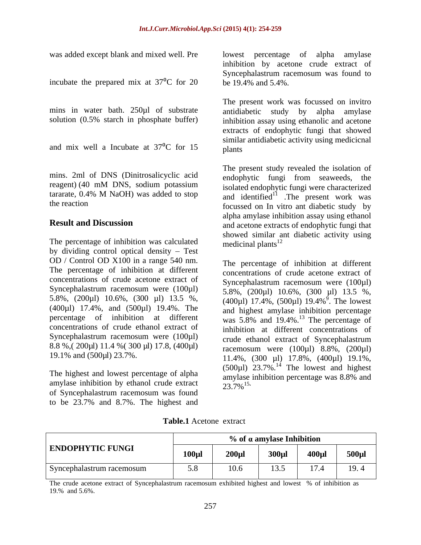incubate the prepared mix at  $37^{\circ}$ C for 20

mins in water bath. 250µl of substrate

and mix well a Incubate at  $37^{\circ}$ C for 15 plants

mins. 2ml of DNS (Dinitrosalicyclic acid and endophytic fungi from seaweeds, the

The percentage of inhibition was calculated medicinal plants<sup>12</sup> by dividing control optical density  $-$  Test OD / Control OD X100 in a range 540 nm. The percentage of inhibition at different concentrations of crude acetone extract of Syncephalastrum racemosum were (100µl) (400µl) 17.4%, and (500µl) 19.4%. The Syncephalastrum racemosum were (100µl) 8.8 %,( 200µl) 11.4 %( 300 µl) 17.8, (400µl)

The highest and lowest percentage of alpha amylase inhibition percentage was 8.8% and amylase inhibition by ethanol crude extract  $\frac{1}{23.7\%}$ <sup>15.</sup> of Syncephalastrum racemosum was found to be 23.7% and 8.7%. The highest and

was added except blank and mixed well. Pre lowest percentage of alpha amylase inhibition by acetone crude extract of Syncephalastrum racemosum was found to be 19.4% and 5.4%.

solution (0.5% starch in phosphate buffer) inhibition assay using ethanolic and acetone The present work was focussed on invitro antidiabetic study by alpha amylase extracts of endophytic fungi that showed similar antidiabetic activity using medicicnal plants and the contract of the contract of the contract of the contract of the contract of the contract of the contract of the contract of the contract of the contract of the contract of the contract of the contract of the

reagent) (40 mM DNS, sodium potassium isolated endophytic fungi were characterized tararate,  $0.4\%$  M NaOH) was added to stop and identified<sup>11</sup>. The present work was the reaction focussed on In vitro ant diabetic study by **Result and Discussion** The present study revealed the isolation of endophytic fungi from seaweeds, isolated endophytic fungi were characterized alpha amylase inhibition assay using ethanol showed similar ant diabetic activity using medicinal plants<sup>12</sup> and  $\frac{1}{2}$  and  $\frac{1}{2}$  and  $\frac{1}{2}$  and  $\frac{1}{2}$  and  $\frac{1}{2}$  and  $\frac{1}{2}$  and  $\frac{1}{2}$  and  $\frac{1}{2}$  and  $\frac{1}{2}$  and  $\frac{1}{2}$  and  $\frac{1}{2}$  and  $\frac{1}{2}$  and  $\frac{1}{2}$  and  $\frac{1}{2}$  and

5.8%, (200µl) 10.6%, (300 µl) 13.5 %, (400µl) 17.4%, (500µl) 19.4%<sup>9</sup>. The lowest percentage of inhibition at different was 5.8% and 19.4%.<sup>13</sup> The percentage of concentrations of crude ethanol extract of inhibition at different concentrations of 19.1% and (500µl) 23.7%.<br>
11.4%, (300 µl) 17.8%, (400µl) 19.1%, The percentage of inhibition at different concentrations of crude acetone extract of Syncephalastrum racemosum were (100µl) 5.8%, (200µl) 10.6%, (300 µl) 13.5 %,  $9$  The lowest . The lowest and highest amylase inhibition percentage crude ethanol extract of Syncephalastrum racemosum were  $(100\mu l)$  8.8%,  $(200\mu l)$  $(500\mu l)$  23.7%.<sup>14</sup> The lowest and highest amylase inhibition percentage was 8.8% and 23.7%<sup>15</sup>**.**

**Table.1** Acetone extract

|                                  | $%$ of $\alpha$ amylase Inhibition |         |                          |                |              |  |
|----------------------------------|------------------------------------|---------|--------------------------|----------------|--------------|--|
| <b>ENDOPHYTIC FUNGI</b>          | $100 \mu l$                        | - 200ur | - 300m                   | 400ul          | <b>500ul</b> |  |
| Syncephalastrum racemosum.<br>58 |                                    | 10.6    | 12 <sub>5</sub><br>1.0.0 | $\overline{1}$ | 12.4         |  |

The crude acetone extract of Syncephalastrum racemosum exhibited highest and lowest % of inhibition as 19.% and 5.6%.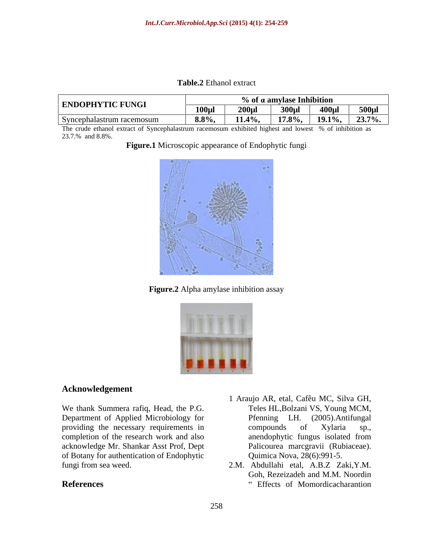**Table.2** Ethanol extract

|                           | % of a amylase Inhibition |                                          |                  |                          |             |  |
|---------------------------|---------------------------|------------------------------------------|------------------|--------------------------|-------------|--|
| <b>ENDOPHYTIC FUNGI</b>   | <b>100ul</b>              | $\mathbf{A}$ $\mathbf{A}$<br>$\sim$ over | $\overline{300}$ | $\overline{1}$ 400 $\mu$ | $500 \mu$ l |  |
| Syncephalastrum racemosum | 8.8%                      | $11.4\%$                                 |                  | 17.8%,   19.1%,   23.7%. |             |  |

The crude ethanol extract of Syncephalastrum racemosum exhibited highest and lowest % of inhibition as 23.7.% and 8.8%.

**Figure.1** Microscopic appearance of Endophytic fungi



**Figure.2** Alpha amylase inhibition assay



### **Acknowledgement**

We thank Summera rafiq, Head, the P.G. Department of Applied Microbiology for Pfenning LH. (2005). Antifungal providing the necessary requirements in  $\qquad$  compounds of Xylaria sp., completion of the research work and also anendophytic fungus isolated from acknowledge Mr. Shankar Asst Prof, Dept of Botany for authentication of Endophytic

- 1 Araujo AR, etal, Cafêu MC, Silva GH, Teles HL,Bolzani VS, Young MCM, Pfenning LH. (2005).Antifungal compounds of Xylaria sp., anendophytic fungus isolated from Palicourea marcgravii (Rubiaceae). Quimica Nova, 28(6):991-5.
- fungi from sea weed. 2.M. Abdullahi etal, A.B.Z Zaki,Y.M. **References** "Effects of Momordicacharantion" Goh, Rezeizadeh and M.M. Noordin